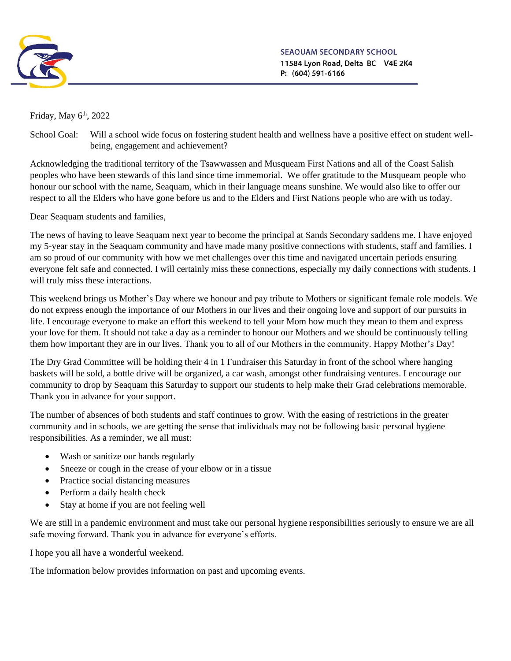

SEAOUAM SECONDARY SCHOOL 11584 Lyon Road, Delta BC V4E 2K4 P: (604) 591-6166

Friday, May  $6<sup>th</sup>$ , 2022

School Goal: Will a school wide focus on fostering student health and wellness have a positive effect on student wellbeing, engagement and achievement?

Acknowledging the traditional territory of the Tsawwassen and Musqueam First Nations and all of the Coast Salish peoples who have been stewards of this land since time immemorial. We offer gratitude to the Musqueam people who honour our school with the name, Seaquam, which in their language means sunshine. We would also like to offer our respect to all the Elders who have gone before us and to the Elders and First Nations people who are with us today.

Dear Seaquam students and families,

The news of having to leave Seaquam next year to become the principal at Sands Secondary saddens me. I have enjoyed my 5-year stay in the Seaquam community and have made many positive connections with students, staff and families. I am so proud of our community with how we met challenges over this time and navigated uncertain periods ensuring everyone felt safe and connected. I will certainly miss these connections, especially my daily connections with students. I will truly miss these interactions.

This weekend brings us Mother's Day where we honour and pay tribute to Mothers or significant female role models. We do not express enough the importance of our Mothers in our lives and their ongoing love and support of our pursuits in life. I encourage everyone to make an effort this weekend to tell your Mom how much they mean to them and express your love for them. It should not take a day as a reminder to honour our Mothers and we should be continuously telling them how important they are in our lives. Thank you to all of our Mothers in the community. Happy Mother's Day!

The Dry Grad Committee will be holding their 4 in 1 Fundraiser this Saturday in front of the school where hanging baskets will be sold, a bottle drive will be organized, a car wash, amongst other fundraising ventures. I encourage our community to drop by Seaquam this Saturday to support our students to help make their Grad celebrations memorable. Thank you in advance for your support.

The number of absences of both students and staff continues to grow. With the easing of restrictions in the greater community and in schools, we are getting the sense that individuals may not be following basic personal hygiene responsibilities. As a reminder, we all must:

- Wash or sanitize our hands regularly
- Sneeze or cough in the crease of your elbow or in a tissue
- Practice social distancing measures
- Perform a daily health check
- Stay at home if you are not feeling well

We are still in a pandemic environment and must take our personal hygiene responsibilities seriously to ensure we are all safe moving forward. Thank you in advance for everyone's efforts.

I hope you all have a wonderful weekend.

The information below provides information on past and upcoming events.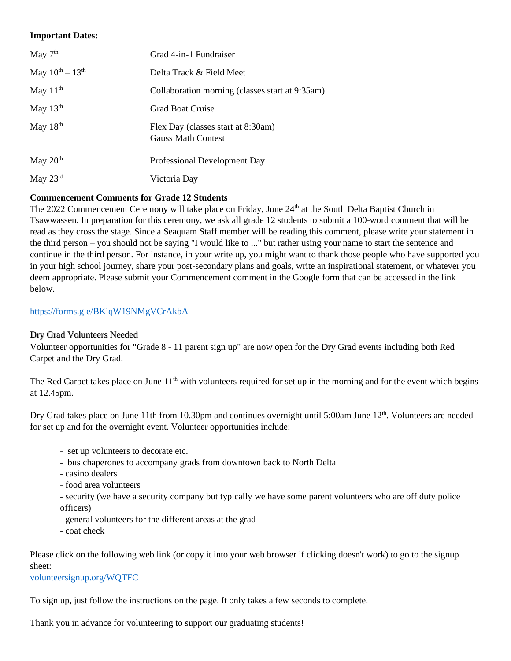### **Important Dates:**

| May $7th$               | Grad 4-in-1 Fundraiser                                          |  |
|-------------------------|-----------------------------------------------------------------|--|
| May $10^{th} - 13^{th}$ | Delta Track & Field Meet                                        |  |
| May $11th$              | Collaboration morning (classes start at 9:35am)                 |  |
| May $13th$              | <b>Grad Boat Cruise</b>                                         |  |
| May 18th                | Flex Day (classes start at 8:30am)<br><b>Gauss Math Contest</b> |  |
| May $20th$              | Professional Development Day                                    |  |
| May $23^{\text{rd}}$    | Victoria Day                                                    |  |

# **Commencement Comments for Grade 12 Students**

The 2022 Commencement Ceremony will take place on Friday, June 24<sup>th</sup> at the South Delta Baptist Church in Tsawwassen. In preparation for this ceremony, we ask all grade 12 students to submit a 100-word comment that will be read as they cross the stage. Since a Seaquam Staff member will be reading this comment, please write your statement in the third person – you should not be saying "I would like to ..." but rather using your name to start the sentence and continue in the third person. For instance, in your write up, you might want to thank those people who have supported you in your high school journey, share your post-secondary plans and goals, write an inspirational statement, or whatever you deem appropriate. Please submit your Commencement comment in the Google form that can be accessed in the link below.

#### <https://forms.gle/BKiqW19NMgVCrAkbA>

#### Dry Grad Volunteers Needed

Volunteer opportunities for "Grade 8 - 11 parent sign up" are now open for the Dry Grad events including both Red Carpet and the Dry Grad.

The Red Carpet takes place on June  $11<sup>th</sup>$  with volunteers required for set up in the morning and for the event which begins at 12.45pm.

Dry Grad takes place on June 11th from 10.30pm and continues overnight until 5:00am June 12<sup>th</sup>. Volunteers are needed for set up and for the overnight event. Volunteer opportunities include:

- set up volunteers to decorate etc.
- bus chaperones to accompany grads from downtown back to North Delta
- casino dealers
- food area volunteers
- security (we have a security company but typically we have some parent volunteers who are off duty police officers)
- general volunteers for the different areas at the grad
- coat check

Please click on the following web link (or copy it into your web browser if clicking doesn't work) to go to the signup sheet:

[volunteersignup.org/WQTFC](https://volunteersignup.org/WQTFC)

To sign up, just follow the instructions on the page. It only takes a few seconds to complete.

Thank you in advance for volunteering to support our graduating students!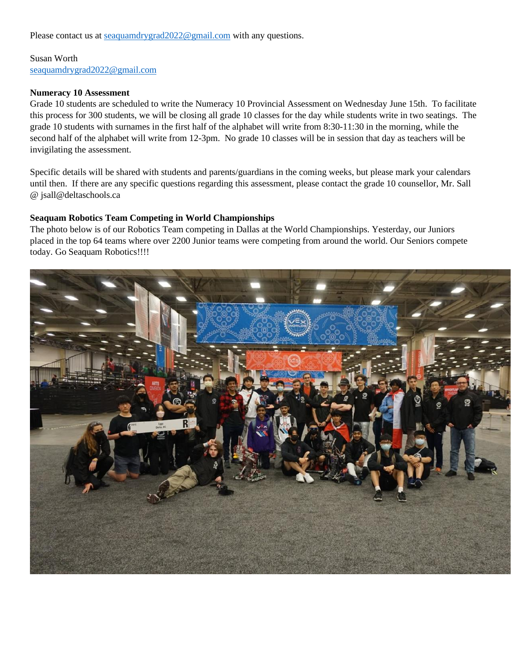Please contact us at <u>[seaquamdrygrad2022@gmail.com](mailto:seaquamdrygrad2022@gmail.com)</u> with any questions.

Susan Worth [seaquamdrygrad2022@gmail.com](mailto:seaquamdrygrad2022@gmail.com)

#### **Numeracy 10 Assessment**

Grade 10 students are scheduled to write the Numeracy 10 Provincial Assessment on Wednesday June 15th. To facilitate this process for 300 students, we will be closing all grade 10 classes for the day while students write in two seatings. The grade 10 students with surnames in the first half of the alphabet will write from 8:30-11:30 in the morning, while the second half of the alphabet will write from 12-3pm. No grade 10 classes will be in session that day as teachers will be invigilating the assessment.

Specific details will be shared with students and parents/guardians in the coming weeks, but please mark your calendars until then. If there are any specific questions regarding this assessment, please contact the grade 10 counsellor, Mr. Sall @ jsall@deltaschools.ca

#### **Seaquam Robotics Team Competing in World Championships**

The photo below is of our Robotics Team competing in Dallas at the World Championships. Yesterday, our Juniors placed in the top 64 teams where over 2200 Junior teams were competing from around the world. Our Seniors compete today. Go Seaquam Robotics!!!!

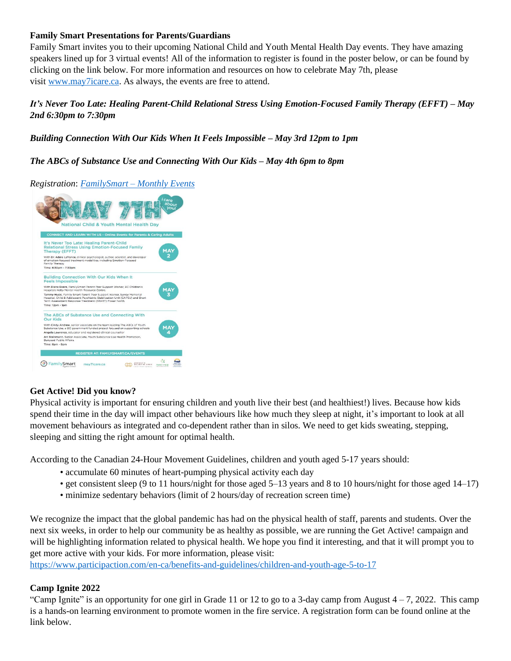### **Family Smart Presentations for Parents/Guardians**

Family Smart invites you to their upcoming National Child and Youth Mental Health Day events. They have amazing speakers lined up for 3 virtual events! All of the information to register is found in the poster below, or can be found by clicking on the link below. For more information and resources on how to celebrate May 7th, please visit [www.may7icare.ca.](https://may7icare.ca/) As always, the events are free to attend.

# *It's Never Too Late: Healing Parent-Child Relational Stress Using Emotion-Focused Family Therapy (EFFT) – May 2nd 6:30pm to 7:30pm*

# *Building Connection With Our Kids When It Feels Impossible – May 3rd 12pm to 1pm*

# *The ABCs of Substance Use and Connecting With Our Kids – May 4th 6pm to 8pm*

*Registration*: *[FamilySmart](https://familysmart.ca/monthly-events/) – Monthly Events*



#### **Get Active! Did you know?**

Physical activity is important for ensuring children and youth live their best (and healthiest!) lives. Because how kids spend their time in the day will impact other behaviours like how much they sleep at night, it's important to look at all movement behaviours as integrated and co-dependent rather than in silos. We need to get kids sweating, stepping, sleeping and sitting the right amount for optimal health.

According to the Canadian 24-Hour Movement Guidelines, children and youth aged 5-17 years should:

- accumulate 60 minutes of heart-pumping physical activity each day
- get consistent sleep (9 to 11 hours/night for those aged 5–13 years and 8 to 10 hours/night for those aged 14–17)
- minimize sedentary behaviors (limit of 2 hours/day of recreation screen time)

We recognize the impact that the global pandemic has had on the physical health of staff, parents and students. Over the next six weeks, in order to help our community be as healthy as possible, we are running the Get Active! campaign and will be highlighting information related to physical health. We hope you find it interesting, and that it will prompt you to get more active with your kids. For more information, please visit:

<https://www.participaction.com/en-ca/benefits-and-guidelines/children-and-youth-age-5-to-17>

# **Camp Ignite 2022**

"Camp Ignite" is an opportunity for one girl in Grade 11 or 12 to go to a 3-day camp from August  $4 - 7$ , 2022. This camp is a hands-on learning environment to promote women in the fire service. A registration form can be found online at the link below.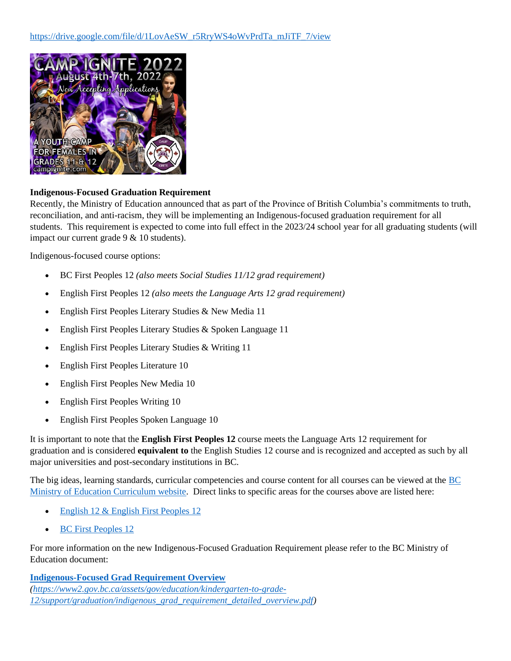

### **Indigenous-Focused Graduation Requirement**

Recently, the Ministry of Education announced that as part of the Province of British Columbia's commitments to truth, reconciliation, and anti-racism, they will be implementing an Indigenous-focused graduation requirement for all students. This requirement is expected to come into full effect in the 2023/24 school year for all graduating students (will impact our current grade 9 & 10 students).

Indigenous-focused course options:

- BC First Peoples 12 *(also meets Social Studies 11/12 grad requirement)*
- English First Peoples 12 *(also meets the Language Arts 12 grad requirement)*
- English First Peoples Literary Studies & New Media 11
- English First Peoples Literary Studies & Spoken Language 11
- English First Peoples Literary Studies & Writing 11
- English First Peoples Literature 10
- English First Peoples New Media 10
- English First Peoples Writing 10
- English First Peoples Spoken Language 10

It is important to note that the **English First Peoples 12** course meets the Language Arts 12 requirement for graduation and is considered **equivalent to** the English Studies 12 course and is recognized and accepted as such by all major universities and post-secondary institutions in BC.

The big ideas, learning standards, curricular competencies and course content for all courses can be viewed at the [BC](https://curriculum.gov.bc.ca/)  [Ministry of Education Curriculum website.](https://curriculum.gov.bc.ca/) Direct links to specific areas for the courses above are listed here:

- [English 12 & English First Peoples 12](https://curriculum.gov.bc.ca/curriculum/english-language-arts/12/courses)
- [BC First Peoples 12](https://curriculum.gov.bc.ca/curriculum/social-studies/12/bc-first-peoples)

For more information on the new Indigenous-Focused Graduation Requirement please refer to the BC Ministry of Education document:

**[Indigenous-Focused Grad Requirement Overview](https://www2.gov.bc.ca/assets/gov/education/kindergarten-to-grade-12/support/graduation/indigenous_grad_requirement_detailed_overview.pdf)** *[\(https://www2.gov.bc.ca/assets/gov/education/kindergarten-to-grade-](https://www2.gov.bc.ca/assets/gov/education/kindergarten-to-grade-12/support/graduation/indigenous_grad_requirement_detailed_overview.pdf)[12/support/graduation/indigenous\\_grad\\_requirement\\_detailed\\_overview.pdf\)](https://www2.gov.bc.ca/assets/gov/education/kindergarten-to-grade-12/support/graduation/indigenous_grad_requirement_detailed_overview.pdf)*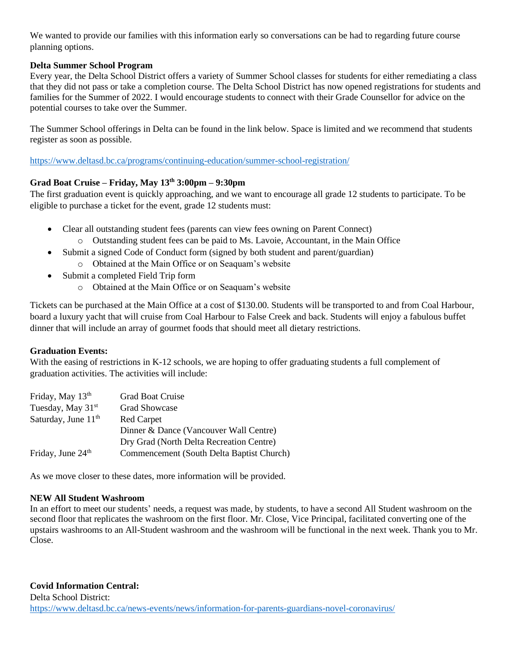We wanted to provide our families with this information early so conversations can be had to regarding future course planning options.

### **Delta Summer School Program**

Every year, the Delta School District offers a variety of Summer School classes for students for either remediating a class that they did not pass or take a completion course. The Delta School District has now opened registrations for students and families for the Summer of 2022. I would encourage students to connect with their Grade Counsellor for advice on the potential courses to take over the Summer.

The Summer School offerings in Delta can be found in the link below. Space is limited and we recommend that students register as soon as possible.

<https://www.deltasd.bc.ca/programs/continuing-education/summer-school-registration/>

# **Grad Boat Cruise – Friday, May 13th 3:00pm – 9:30pm**

The first graduation event is quickly approaching, and we want to encourage all grade 12 students to participate. To be eligible to purchase a ticket for the event, grade 12 students must:

- Clear all outstanding student fees (parents can view fees owning on Parent Connect)
	- o Outstanding student fees can be paid to Ms. Lavoie, Accountant, in the Main Office
- Submit a signed Code of Conduct form (signed by both student and parent/guardian)
	- o Obtained at the Main Office or on Seaquam's website
- Submit a completed Field Trip form
	- o Obtained at the Main Office or on Seaquam's website

Tickets can be purchased at the Main Office at a cost of \$130.00. Students will be transported to and from Coal Harbour, board a luxury yacht that will cruise from Coal Harbour to False Creek and back. Students will enjoy a fabulous buffet dinner that will include an array of gourmet foods that should meet all dietary restrictions.

#### **Graduation Events:**

With the easing of restrictions in K-12 schools, we are hoping to offer graduating students a full complement of graduation activities. The activities will include:

| Friday, May 13th                | <b>Grad Boat Cruise</b>                   |  |
|---------------------------------|-------------------------------------------|--|
| Tuesday, May 31 <sup>st</sup>   | <b>Grad Showcase</b>                      |  |
| Saturday, June 11 <sup>th</sup> | <b>Red Carpet</b>                         |  |
|                                 | Dinner & Dance (Vancouver Wall Centre)    |  |
|                                 | Dry Grad (North Delta Recreation Centre)  |  |
| Friday, June 24 <sup>th</sup>   | Commencement (South Delta Baptist Church) |  |

As we move closer to these dates, more information will be provided.

### **NEW All Student Washroom**

In an effort to meet our students' needs, a request was made, by students, to have a second All Student washroom on the second floor that replicates the washroom on the first floor. Mr. Close, Vice Principal, facilitated converting one of the upstairs washrooms to an All-Student washroom and the washroom will be functional in the next week. Thank you to Mr. Close.